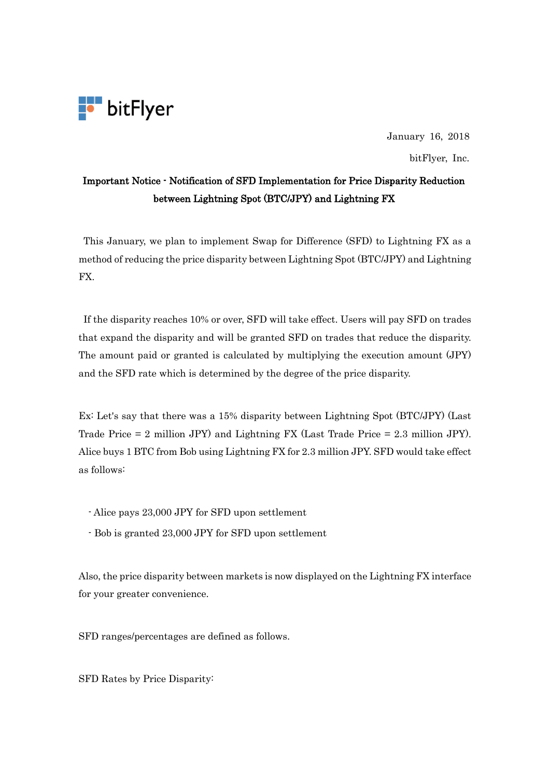

January 16, 2018

bitFlyer, Inc.

## Important Notice - Notification of SFD Implementation for Price Disparity Reduction between Lightning Spot (BTC/JPY) and Lightning FX

This January, we plan to implement Swap for Difference (SFD) to Lightning FX as a method of reducing the price disparity between Lightning Spot (BTC/JPY) and Lightning FX.

If the disparity reaches 10% or over, SFD will take effect. Users will pay SFD on trades that expand the disparity and will be granted SFD on trades that reduce the disparity. The amount paid or granted is calculated by multiplying the execution amount (JPY) and the SFD rate which is determined by the degree of the price disparity.

Ex: Let's say that there was a 15% disparity between Lightning Spot (BTC/JPY) (Last Trade Price = 2 million JPY) and Lightning FX (Last Trade Price = 2.3 million JPY). Alice buys 1 BTC from Bob using Lightning FX for 2.3 million JPY. SFD would take effect as follows:

- Alice pays 23,000 JPY for SFD upon settlement
- Bob is granted 23,000 JPY for SFD upon settlement

Also, the price disparity between markets is now displayed on the Lightning FX interface for your greater convenience.

SFD ranges/percentages are defined as follows.

SFD Rates by Price Disparity: